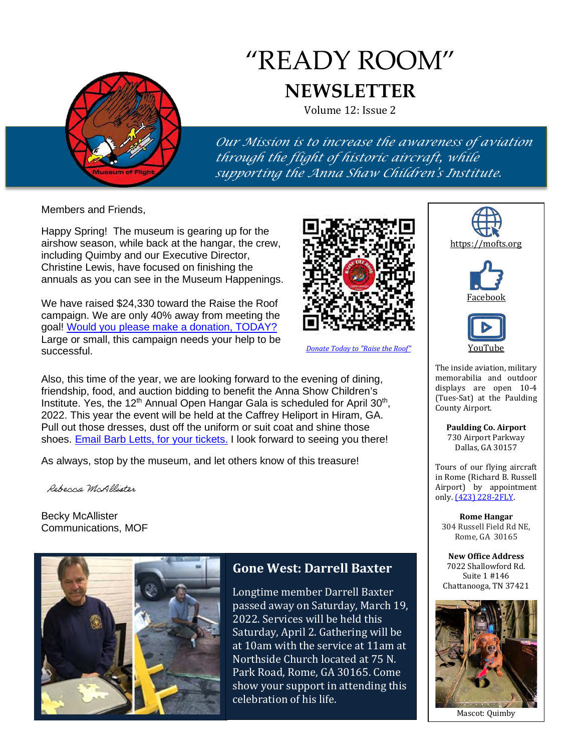

# "READY ROOM" **NEWSLETTER**

Volume 12: Issue 2

*Our Mission is to increase the awareness of aviation through the flight of historic aircraft, while supporting the Anna Shaw Children's Institute.*

Members and Friends,

Happy Spring! The museum is gearing up for the airshow season, while back at the hangar, the crew, including Quimby and our Executive Director, Christine Lewis, have focused on finishing the annuals as you can see in the Museum Happenings.

We have raised \$24,330 toward the Raise the Roof campaign. We are only 40% away from meeting the goal! [Would you please make a donation, TODAY?](https://hixsonflightmuseum-922263.square.site/product/raise-the-roof-capital-campaign-donation/32)  Large or small, this campaign needs your help to be successful.

Also, this time of the year, we are looking forward to the evening of dining, friendship, food, and auction bidding to benefit the Anna Show Children's Institute. Yes, the 12<sup>th</sup> Annual Open Hangar Gala is scheduled for April 30<sup>th</sup>, 2022. This year the event will be held at the Caffrey Heliport in Hiram, GA. Pull out those dresses, dust off the uniform or suit coat and shine those shoes. [Email Barb Letts, for your tickets.](mailto:exec.assistant@mofts.org?subject=GALA%20Tickets) I look forward to seeing you there!

As always, stop by the museum, and let others know of this treasure!

Rebecca McAllister

Becky McAllister Communications, MOF





Longtime member Darrell Baxter passed away on Saturday, March 19, 2022. Services will be held this Saturday, April 2. Gathering will be at 10am with the service at 11am at Northside Church located at 75 N. Park Road, Rome, GA 30165. Come show your support in attending this celebration of his life.



*[Donate Today to "Raise the Roof"](https://hixsonflightmuseum-922263.square.site/product/raise-the-roof-capital-campaign-donation/32)*



**Paulding Co. Airport** 730 Airport Parkway Dallas, GA 30157

County Airport.

Tours of our flying aircraft in Rome (Richard B. Russell Airport) by appointment only. <u>(423) 228-2FLY</u>.

**Rome Hangar** 304 Russell Field Rd NE, Rome, GA 30165

**New Office Address** 7022 Shallowford Rd. Suite 1 #146 Chattanooga, TN 37421



Mascot: Quimby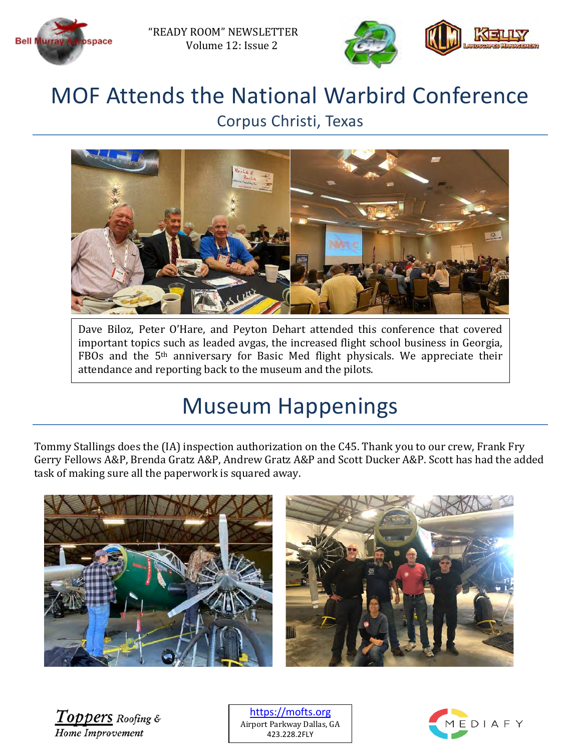



### MOF Attends the National Warbird Conference Corpus Christi, Texas



Dave Biloz, Peter O'Hare, and Peyton Dehart attended this conference that covered important topics such as leaded avgas, the increased flight school business in Georgia, FBOs and the 5th anniversary for Basic Med flight physicals. We appreciate their attendance and reporting back to the museum and the pilots.

# Museum Happenings

Tommy Stallings does the (IA) inspection authorization on the C45. Thank you to our crew, Frank Fry Gerry Fellows A&P, Brenda Gratz A&P, Andrew Gratz A&P and Scott Ducker A&P. Scott has had the added task of making sure all the paperwork is squared away.



 $\overline{Toppers}$  Roofing & Home Improvement

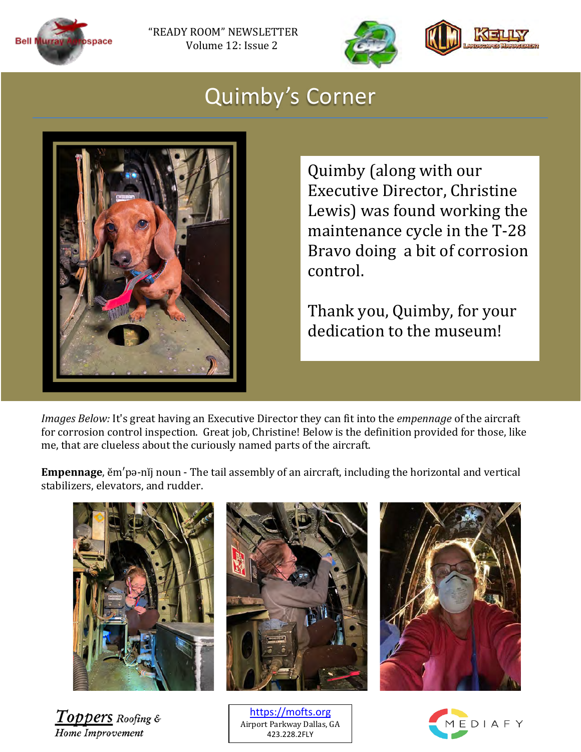



## Quimby's Corner



Quimby (along with our Executive Director, Christine Lewis) was found working the maintenance cycle in the T-28 Bravo doing a bit of corrosion control.

Thank you, Quimby, for your dedication to the museum!

*Images Below:* It's great having an Executive Director they can fit into the *empennage* of the aircraft for corrosion control inspection. Great job, Christine! Below is the definition provided for those, like me, that are clueless about the curiously named parts of the aircraft.

**Empennage**, ĕm′pə-nĭj noun - The tail assembly of an aircraft, including the horizontal and vertical stabilizers, elevators, and rudder.



**Toppers** Roofing & Home Improvement

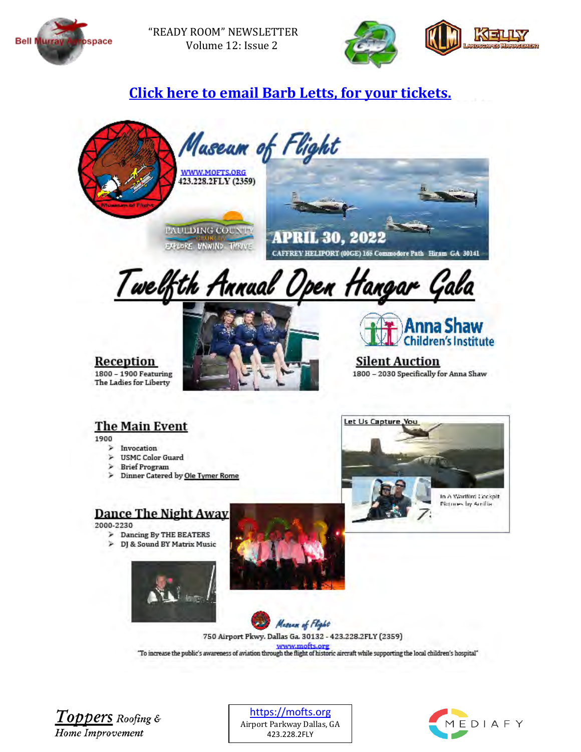

"READY ROOM" NEWSLETTER Volume 12: Issue 2



#### **Quimby wants to know if she can head to [Click here to email Barb Letts, for your tickets.](mailto:exec.assistant@mofts.org?subject=GALA%20Tickets)**



#### **The Main Event**

1900

- $\geq$ Invocation  $\frac{1}{2}$ **USMC Color Guard**
- **Brief Program**
- > Dinner Catered by Ole Tymer Rome

#### **Dance The Night Away**

2000-2230

- > Dancing By THE BEATERS
- > DJ & Sound BY Matrix Music









750 Airport Pkwy. Dallas Ga. 30132 - 423.228.2FLY (2359) "To increase the public's awareness of aviation through the flight of historic aircraft while supporting the local children's hospital"

Toppers Roofing & **Home Improvement** 

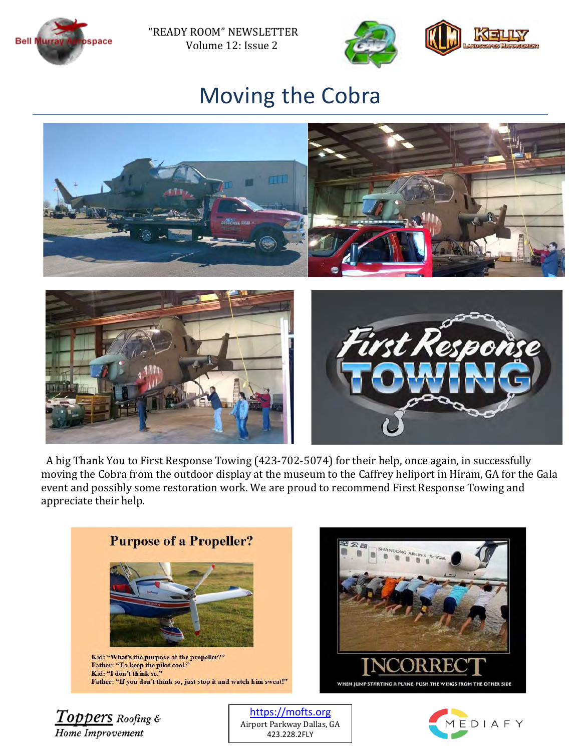

"READY ROOM" NEWSLETTER Volume 12: Issue 2



## Moving the Cobra



 A big Thank You to First Response Towing (423-702-5074) for their help, once again, in successfully moving the Cobra from the outdoor display at the museum to the Caffrey heliport in Hiram, GA for the Gala event and possibly some restoration work. We are proud to recommend First Response Towing and appreciate their help.



Home Improvement

Airport Parkway Dallas, GA 423.228.2FLY

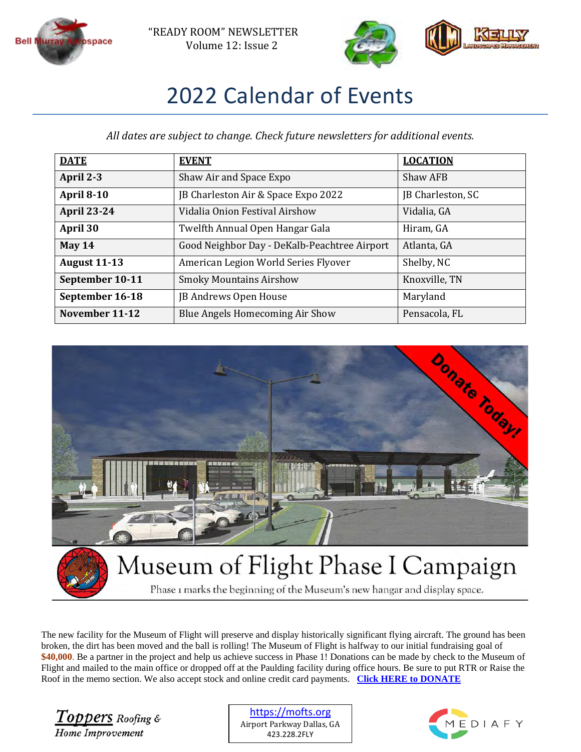



# 2022 Calendar of Events

*All dates are subject to change. Check future newsletters for additional events.* 

| <b>DATE</b>         | <b>EVENT</b>                                 | <b>LOCATION</b>   |
|---------------------|----------------------------------------------|-------------------|
| April 2-3           | Shaw Air and Space Expo                      | Shaw AFB          |
| <b>April 8-10</b>   | JB Charleston Air & Space Expo 2022          | JB Charleston, SC |
| <b>April 23-24</b>  | Vidalia Onion Festival Airshow               | Vidalia, GA       |
| April 30            | Twelfth Annual Open Hangar Gala              | Hiram, GA         |
| May $14$            | Good Neighbor Day - DeKalb-Peachtree Airport | Atlanta, GA       |
| <b>August 11-13</b> | American Legion World Series Flyover         | Shelby, NC        |
| September 10-11     | <b>Smoky Mountains Airshow</b>               | Knoxville, TN     |
| September 16-18     | JB Andrews Open House                        | Maryland          |
| November 11-12      | Blue Angels Homecoming Air Show              | Pensacola, FL     |



Phase I marks the beginning of the Museum's new hangar and display space.

The new facility for the Museum of Flight will preserve and display historically significant flying aircraft. The ground has been broken, the dirt has been moved and the ball is rolling! The Museum of Flight is halfway to our initial fundraising goal of **\$40,000**. Be a partner in the project and help us achieve success in Phase 1! Donations can be made by check to the Museum of Flight and mailed to the main office or dropped off at the Paulding facility during office hours. Be sure to put RTR or Raise the Roof in the memo section. We also accept stock and online credit card payments. **[Click HERE to DONATE](https://tinyurl.com/mofraisetheroof)**

Toppers Roofing & Home Improvement